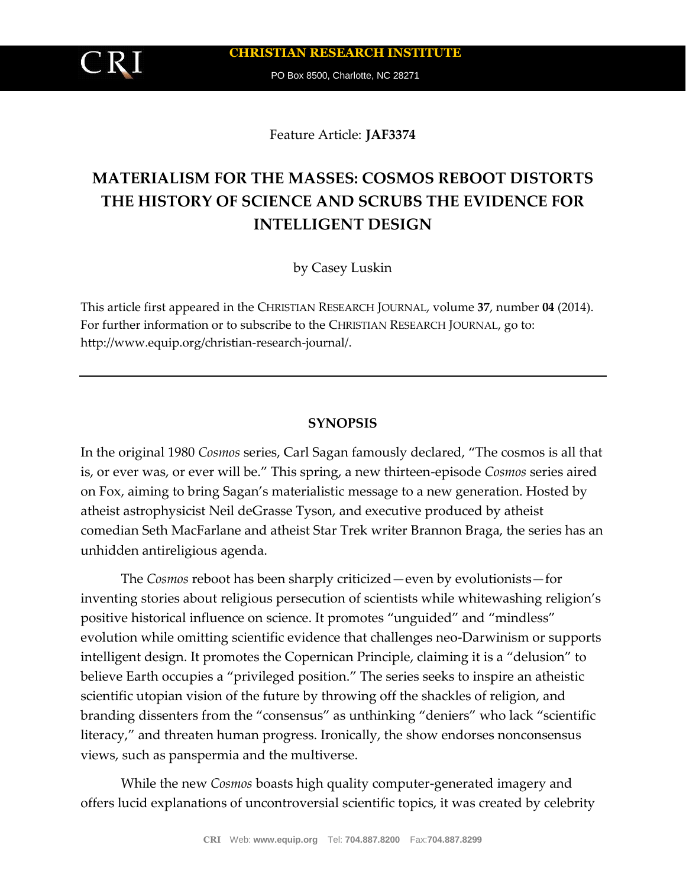PO Box 8500, Charlotte, NC 28271

Feature Article: **JAF3374**

# **MATERIALISM FOR THE MASSES: COSMOS REBOOT DISTORTS THE HISTORY OF SCIENCE AND SCRUBS THE EVIDENCE FOR INTELLIGENT DESIGN**

by Casey Luskin

This article first appeared in the CHRISTIAN RESEARCH JOURNAL, volume **37**, number **04** (2014). For further information or to subscribe to the CHRISTIAN RESEARCH JOURNAL, go to: http://www.equip.org/christian-research-journal/.

#### **SYNOPSIS**

In the original 1980 *Cosmos* series, Carl Sagan famously declared, "The cosmos is all that is, or ever was, or ever will be." This spring, a new thirteen-episode *Cosmos* series aired on Fox, aiming to bring Sagan's materialistic message to a new generation. Hosted by atheist astrophysicist Neil deGrasse Tyson, and executive produced by atheist comedian Seth MacFarlane and atheist Star Trek writer Brannon Braga, the series has an unhidden antireligious agenda.

The *Cosmos* reboot has been sharply criticized—even by evolutionists—for inventing stories about religious persecution of scientists while whitewashing religion's positive historical influence on science. It promotes "unguided" and "mindless" evolution while omitting scientific evidence that challenges neo-Darwinism or supports intelligent design. It promotes the Copernican Principle, claiming it is a "delusion" to believe Earth occupies a "privileged position." The series seeks to inspire an atheistic scientific utopian vision of the future by throwing off the shackles of religion, and branding dissenters from the "consensus" as unthinking "deniers" who lack "scientific literacy," and threaten human progress. Ironically, the show endorses nonconsensus views, such as panspermia and the multiverse.

While the new *Cosmos* boasts high quality computer-generated imagery and offers lucid explanations of uncontroversial scientific topics, it was created by celebrity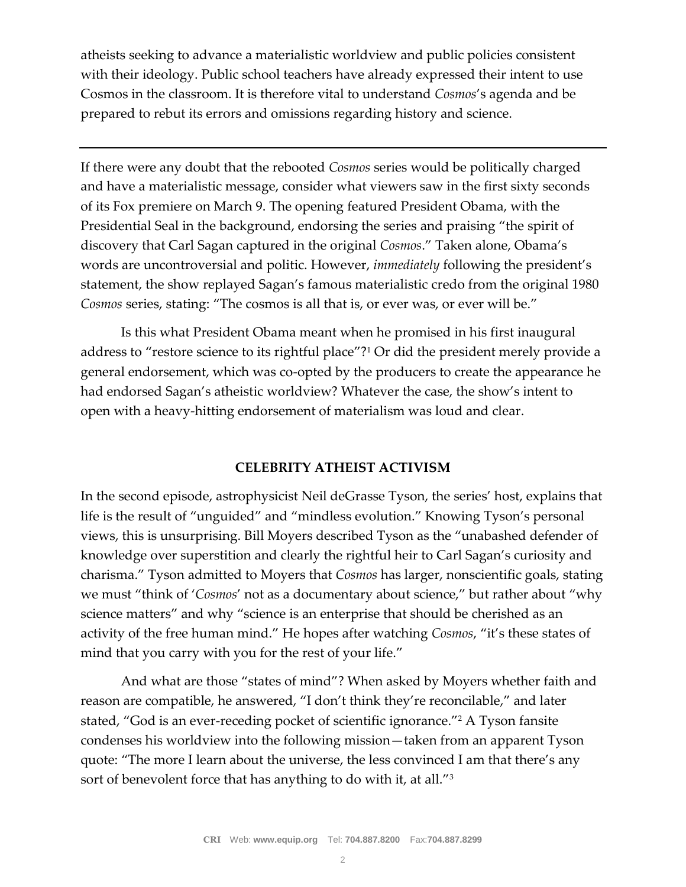atheists seeking to advance a materialistic worldview and public policies consistent with their ideology. Public school teachers have already expressed their intent to use Cosmos in the classroom. It is therefore vital to understand *Cosmos*'s agenda and be prepared to rebut its errors and omissions regarding history and science.

If there were any doubt that the rebooted *Cosmos* series would be politically charged and have a materialistic message, consider what viewers saw in the first sixty seconds of its Fox premiere on March 9. The opening featured President Obama, with the Presidential Seal in the background, endorsing the series and praising "the spirit of discovery that Carl Sagan captured in the original *Cosmos*." Taken alone, Obama's words are uncontroversial and politic. However, *immediately* following the president's statement, the show replayed Sagan's famous materialistic credo from the original 1980 *Cosmos* series, stating: "The cosmos is all that is, or ever was, or ever will be."

Is this what President Obama meant when he promised in his first inaugural address to "restore science to its rightful place"?<sup>1</sup> Or did the president merely provide a general endorsement, which was co-opted by the producers to create the appearance he had endorsed Sagan's atheistic worldview? Whatever the case, the show's intent to open with a heavy-hitting endorsement of materialism was loud and clear.

# **CELEBRITY ATHEIST ACTIVISM**

In the second episode, astrophysicist Neil deGrasse Tyson, the series' host, explains that life is the result of "unguided" and "mindless evolution." Knowing Tyson's personal views, this is unsurprising. Bill Moyers described Tyson as the "unabashed defender of knowledge over superstition and clearly the rightful heir to Carl Sagan's curiosity and charisma." Tyson admitted to Moyers that *Cosmos* has larger, nonscientific goals, stating we must "think of '*Cosmos*' not as a documentary about science," but rather about "why science matters" and why "science is an enterprise that should be cherished as an activity of the free human mind." He hopes after watching *Cosmos*, "it's these states of mind that you carry with you for the rest of your life."

And what are those "states of mind"? When asked by Moyers whether faith and reason are compatible, he answered, "I don't think they're reconcilable," and later stated, "God is an ever-receding pocket of scientific ignorance."<sup>2</sup> A Tyson fansite condenses his worldview into the following mission—taken from an apparent Tyson quote: "The more I learn about the universe, the less convinced I am that there's any sort of benevolent force that has anything to do with it, at all."<sup>3</sup>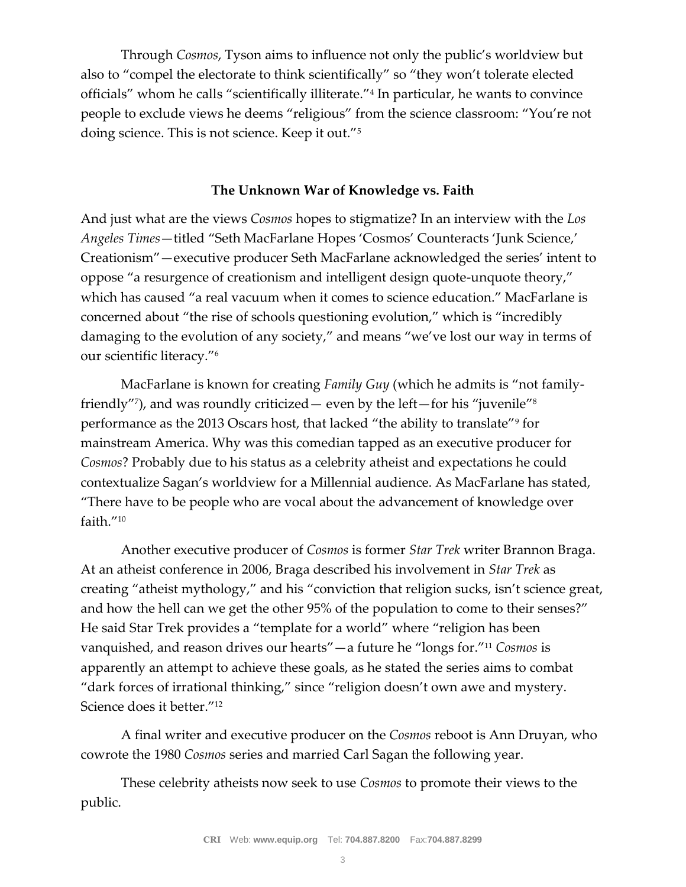Through *Cosmos*, Tyson aims to influence not only the public's worldview but also to "compel the electorate to think scientifically" so "they won't tolerate elected officials" whom he calls "scientifically illiterate."<sup>4</sup> In particular, he wants to convince people to exclude views he deems "religious" from the science classroom: "You're not doing science. This is not science. Keep it out."<sup>5</sup>

# **The Unknown War of Knowledge vs. Faith**

And just what are the views *Cosmos* hopes to stigmatize? In an interview with the *Los Angeles Times*—titled "Seth MacFarlane Hopes 'Cosmos' Counteracts 'Junk Science,' Creationism"—executive producer Seth MacFarlane acknowledged the series' intent to oppose "a resurgence of creationism and intelligent design quote-unquote theory," which has caused "a real vacuum when it comes to science education." MacFarlane is concerned about "the rise of schools questioning evolution," which is "incredibly damaging to the evolution of any society," and means "we've lost our way in terms of our scientific literacy."<sup>6</sup>

MacFarlane is known for creating *Family Guy* (which he admits is "not familyfriendly"<sup>7</sup> ), and was roundly criticized— even by the left—for his "juvenile"<sup>8</sup> performance as the 2013 Oscars host, that lacked "the ability to translate"<sup>9</sup> for mainstream America. Why was this comedian tapped as an executive producer for *Cosmos*? Probably due to his status as a celebrity atheist and expectations he could contextualize Sagan's worldview for a Millennial audience. As MacFarlane has stated, "There have to be people who are vocal about the advancement of knowledge over faith."<sup>10</sup>

Another executive producer of *Cosmos* is former *Star Trek* writer Brannon Braga. At an atheist conference in 2006, Braga described his involvement in *Star Trek* as creating "atheist mythology," and his "conviction that religion sucks, isn't science great, and how the hell can we get the other 95% of the population to come to their senses?" He said Star Trek provides a "template for a world" where "religion has been vanquished, and reason drives our hearts"—a future he "longs for."<sup>11</sup> *Cosmos* is apparently an attempt to achieve these goals, as he stated the series aims to combat "dark forces of irrational thinking," since "religion doesn't own awe and mystery. Science does it better."<sup>12</sup>

A final writer and executive producer on the *Cosmos* reboot is Ann Druyan, who cowrote the 1980 *Cosmos* series and married Carl Sagan the following year.

These celebrity atheists now seek to use *Cosmos* to promote their views to the public.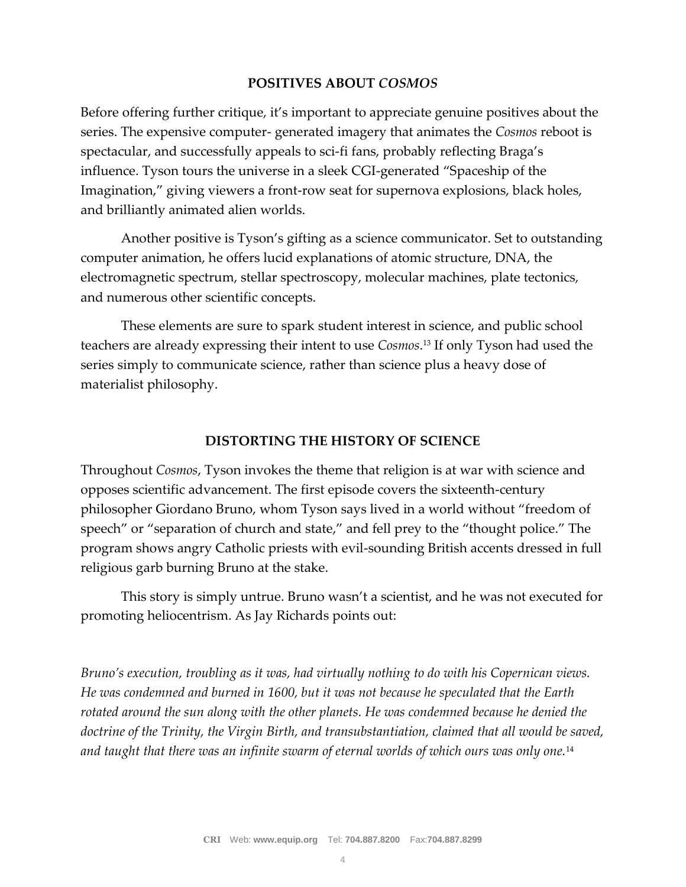## **POSITIVES ABOUT** *COSMOS*

Before offering further critique, it's important to appreciate genuine positives about the series. The expensive computer- generated imagery that animates the *Cosmos* reboot is spectacular, and successfully appeals to sci-fi fans, probably reflecting Braga's influence. Tyson tours the universe in a sleek CGI-generated "Spaceship of the Imagination," giving viewers a front-row seat for supernova explosions, black holes, and brilliantly animated alien worlds.

Another positive is Tyson's gifting as a science communicator. Set to outstanding computer animation, he offers lucid explanations of atomic structure, DNA, the electromagnetic spectrum, stellar spectroscopy, molecular machines, plate tectonics, and numerous other scientific concepts.

These elements are sure to spark student interest in science, and public school teachers are already expressing their intent to use *Cosmos*. <sup>13</sup> If only Tyson had used the series simply to communicate science, rather than science plus a heavy dose of materialist philosophy.

### **DISTORTING THE HISTORY OF SCIENCE**

Throughout *Cosmos*, Tyson invokes the theme that religion is at war with science and opposes scientific advancement. The first episode covers the sixteenth-century philosopher Giordano Bruno, whom Tyson says lived in a world without "freedom of speech" or "separation of church and state," and fell prey to the "thought police." The program shows angry Catholic priests with evil-sounding British accents dressed in full religious garb burning Bruno at the stake.

This story is simply untrue. Bruno wasn't a scientist, and he was not executed for promoting heliocentrism. As Jay Richards points out:

*Bruno's execution, troubling as it was, had virtually nothing to do with his Copernican views. He was condemned and burned in 1600, but it was not because he speculated that the Earth rotated around the sun along with the other planets. He was condemned because he denied the doctrine of the Trinity, the Virgin Birth, and transubstantiation, claimed that all would be saved, and taught that there was an infinite swarm of eternal worlds of which ours was only one.*14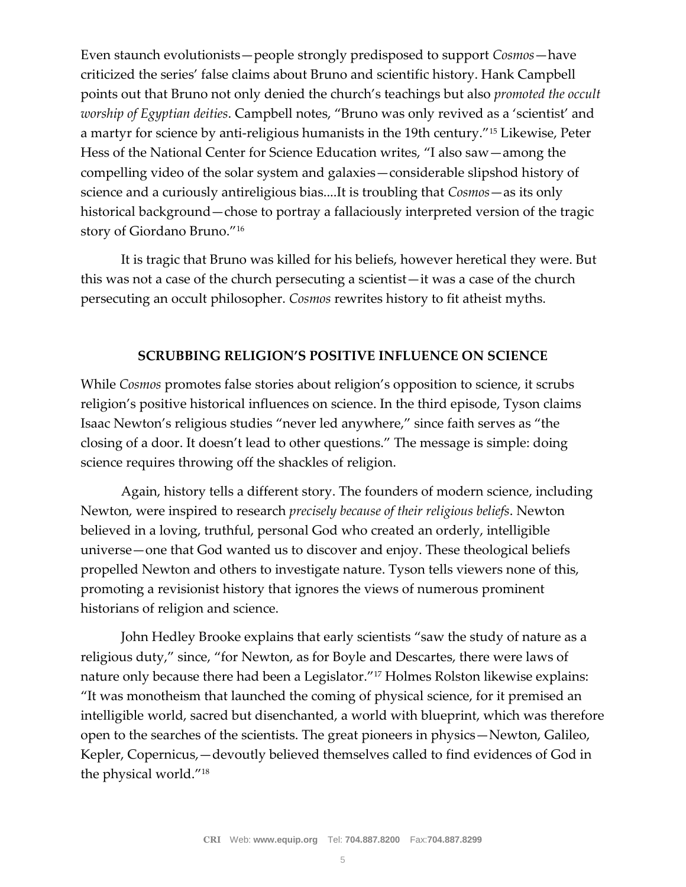Even staunch evolutionists—people strongly predisposed to support *Cosmos*—have criticized the series' false claims about Bruno and scientific history. Hank Campbell points out that Bruno not only denied the church's teachings but also *promoted the occult worship of Egyptian deities*. Campbell notes, "Bruno was only revived as a 'scientist' and a martyr for science by anti-religious humanists in the 19th century."<sup>15</sup> Likewise, Peter Hess of the National Center for Science Education writes, "I also saw—among the compelling video of the solar system and galaxies—considerable slipshod history of science and a curiously antireligious bias....It is troubling that *Cosmos*—as its only historical background—chose to portray a fallaciously interpreted version of the tragic story of Giordano Bruno."<sup>16</sup>

It is tragic that Bruno was killed for his beliefs, however heretical they were. But this was not a case of the church persecuting a scientist—it was a case of the church persecuting an occult philosopher. *Cosmos* rewrites history to fit atheist myths.

#### **SCRUBBING RELIGION'S POSITIVE INFLUENCE ON SCIENCE**

While *Cosmos* promotes false stories about religion's opposition to science, it scrubs religion's positive historical influences on science. In the third episode, Tyson claims Isaac Newton's religious studies "never led anywhere," since faith serves as "the closing of a door. It doesn't lead to other questions." The message is simple: doing science requires throwing off the shackles of religion.

Again, history tells a different story. The founders of modern science, including Newton, were inspired to research *precisely because of their religious beliefs*. Newton believed in a loving, truthful, personal God who created an orderly, intelligible universe—one that God wanted us to discover and enjoy. These theological beliefs propelled Newton and others to investigate nature. Tyson tells viewers none of this, promoting a revisionist history that ignores the views of numerous prominent historians of religion and science.

John Hedley Brooke explains that early scientists "saw the study of nature as a religious duty," since, "for Newton, as for Boyle and Descartes, there were laws of nature only because there had been a Legislator."<sup>17</sup> Holmes Rolston likewise explains: "It was monotheism that launched the coming of physical science, for it premised an intelligible world, sacred but disenchanted, a world with blueprint, which was therefore open to the searches of the scientists. The great pioneers in physics—Newton, Galileo, Kepler, Copernicus,—devoutly believed themselves called to find evidences of God in the physical world."18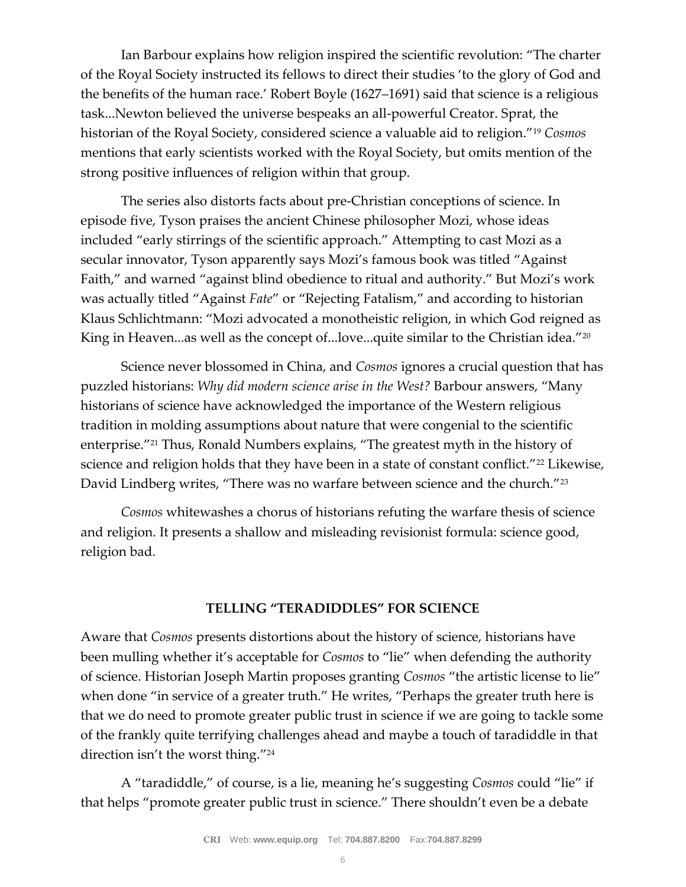Ian Barbour explains how religion inspired the scientific revolution: "The charter of the Royal Society instructed its fellows to direct their studies 'to the glory of God and the benefits of the human race.' Robert Boyle (1627–1691) said that science is a religious task...Newton believed the universe bespeaks an all-powerful Creator. Sprat, the historian of the Royal Society, considered science a valuable aid to religion."<sup>19</sup> *Cosmos* mentions that early scientists worked with the Royal Society, but omits mention of the strong positive influences of religion within that group.

The series also distorts facts about pre-Christian conceptions of science. In episode five, Tyson praises the ancient Chinese philosopher Mozi, whose ideas included "early stirrings of the scientific approach." Attempting to cast Mozi as a secular innovator, Tyson apparently says Mozi's famous book was titled "Against Faith," and warned "against blind obedience to ritual and authority." But Mozi's work was actually titled "Against *Fate*" or "Rejecting Fatalism," and according to historian Klaus Schlichtmann: "Mozi advocated a monotheistic religion, in which God reigned as King in Heaven...as well as the concept of...love...quite similar to the Christian idea."<sup>20</sup>

Science never blossomed in China, and *Cosmos* ignores a crucial question that has puzzled historians: *Why did modern science arise in the West?* Barbour answers, "Many historians of science have acknowledged the importance of the Western religious tradition in molding assumptions about nature that were congenial to the scientific enterprise."<sup>21</sup> Thus, Ronald Numbers explains, "The greatest myth in the history of science and religion holds that they have been in a state of constant conflict."<sup>22</sup> Likewise, David Lindberg writes, "There was no warfare between science and the church."<sup>23</sup>

*Cosmos* whitewashes a chorus of historians refuting the warfare thesis of science and religion. It presents a shallow and misleading revisionist formula: science good, religion bad.

#### **TELLING "TERADIDDLES" FOR SCIENCE**

Aware that *Cosmos* presents distortions about the history of science, historians have been mulling whether it's acceptable for *Cosmos* to "lie" when defending the authority of science. Historian Joseph Martin proposes granting *Cosmos* "the artistic license to lie" when done "in service of a greater truth." He writes, "Perhaps the greater truth here is that we do need to promote greater public trust in science if we are going to tackle some of the frankly quite terrifying challenges ahead and maybe a touch of taradiddle in that direction isn't the worst thing."<sup>24</sup>

A "taradiddle," of course, is a lie, meaning he's suggesting *Cosmos* could "lie" if that helps "promote greater public trust in science." There shouldn't even be a debate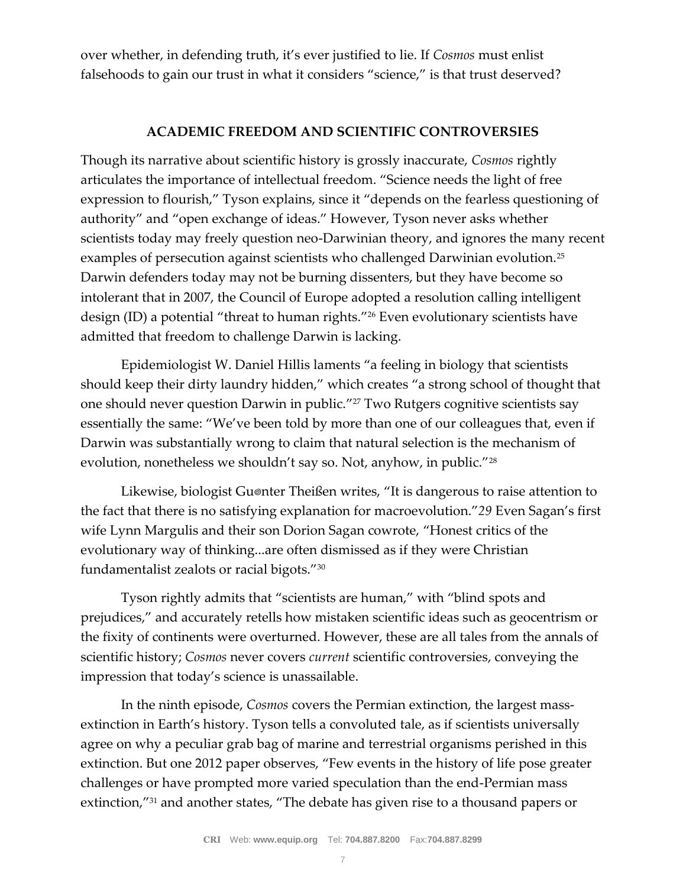over whether, in defending truth, it's ever justified to lie. If *Cosmos* must enlist falsehoods to gain our trust in what it considers "science," is that trust deserved?

## **ACADEMIC FREEDOM AND SCIENTIFIC CONTROVERSIES**

Though its narrative about scientific history is grossly inaccurate, *Cosmos* rightly articulates the importance of intellectual freedom. "Science needs the light of free expression to flourish," Tyson explains, since it "depends on the fearless questioning of authority" and "open exchange of ideas." However, Tyson never asks whether scientists today may freely question neo-Darwinian theory, and ignores the many recent examples of persecution against scientists who challenged Darwinian evolution.<sup>25</sup> Darwin defenders today may not be burning dissenters, but they have become so intolerant that in 2007, the Council of Europe adopted a resolution calling intelligent design (ID) a potential "threat to human rights."<sup>26</sup> Even evolutionary scientists have admitted that freedom to challenge Darwin is lacking.

Epidemiologist W. Daniel Hillis laments "a feeling in biology that scientists should keep their dirty laundry hidden," which creates "a strong school of thought that one should never question Darwin in public."<sup>27</sup> Two Rutgers cognitive scientists say essentially the same: "We've been told by more than one of our colleagues that, even if Darwin was substantially wrong to claim that natural selection is the mechanism of evolution, nonetheless we shouldn't say so. Not, anyhow, in public."<sup>28</sup>

Likewise, biologist Gu®nter Theißen writes, "It is dangerous to raise attention to the fact that there is no satisfying explanation for macroevolution."*29* Even Sagan's first wife Lynn Margulis and their son Dorion Sagan cowrote, "Honest critics of the evolutionary way of thinking...are often dismissed as if they were Christian fundamentalist zealots or racial bigots."<sup>30</sup>

Tyson rightly admits that "scientists are human," with "blind spots and prejudices," and accurately retells how mistaken scientific ideas such as geocentrism or the fixity of continents were overturned. However, these are all tales from the annals of scientific history; *Cosmos* never covers *current* scientific controversies, conveying the impression that today's science is unassailable.

In the ninth episode, *Cosmos* covers the Permian extinction, the largest massextinction in Earth's history. Tyson tells a convoluted tale, as if scientists universally agree on why a peculiar grab bag of marine and terrestrial organisms perished in this extinction. But one 2012 paper observes, "Few events in the history of life pose greater challenges or have prompted more varied speculation than the end-Permian mass extinction,"<sup>31</sup> and another states, "The debate has given rise to a thousand papers or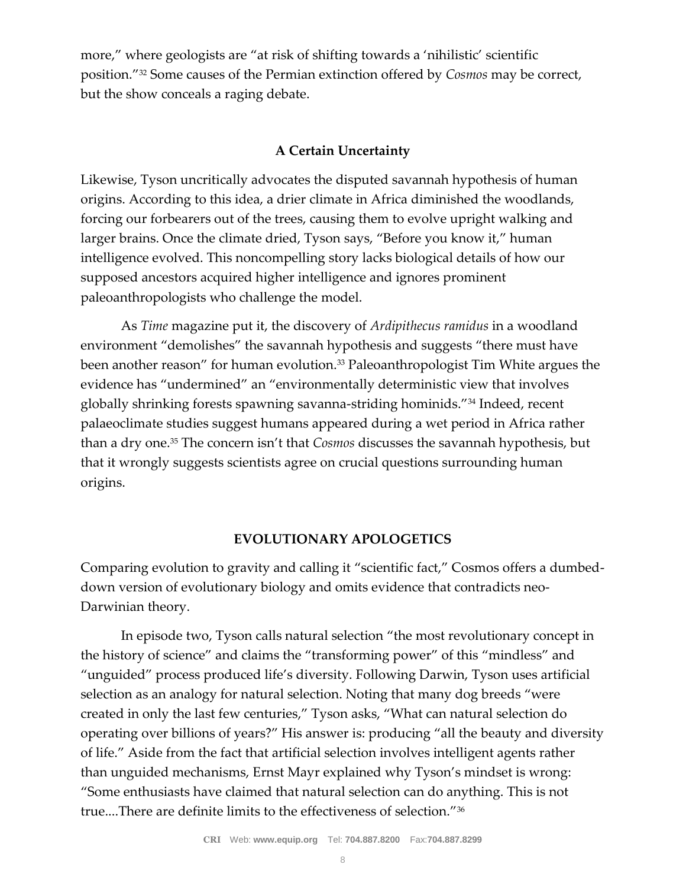more," where geologists are "at risk of shifting towards a 'nihilistic' scientific position."<sup>32</sup> Some causes of the Permian extinction offered by *Cosmos* may be correct, but the show conceals a raging debate.

# **A Certain Uncertainty**

Likewise, Tyson uncritically advocates the disputed savannah hypothesis of human origins. According to this idea, a drier climate in Africa diminished the woodlands, forcing our forbearers out of the trees, causing them to evolve upright walking and larger brains. Once the climate dried, Tyson says, "Before you know it," human intelligence evolved. This noncompelling story lacks biological details of how our supposed ancestors acquired higher intelligence and ignores prominent paleoanthropologists who challenge the model.

As *Time* magazine put it, the discovery of *Ardipithecus ramidus* in a woodland environment "demolishes" the savannah hypothesis and suggests "there must have been another reason" for human evolution.<sup>33</sup> Paleoanthropologist Tim White argues the evidence has "undermined" an "environmentally deterministic view that involves globally shrinking forests spawning savanna-striding hominids."<sup>34</sup> Indeed, recent palaeoclimate studies suggest humans appeared during a wet period in Africa rather than a dry one.<sup>35</sup> The concern isn't that *Cosmos* discusses the savannah hypothesis, but that it wrongly suggests scientists agree on crucial questions surrounding human origins.

# **EVOLUTIONARY APOLOGETICS**

Comparing evolution to gravity and calling it "scientific fact," Cosmos offers a dumbeddown version of evolutionary biology and omits evidence that contradicts neo-Darwinian theory.

In episode two, Tyson calls natural selection "the most revolutionary concept in the history of science" and claims the "transforming power" of this "mindless" and "unguided" process produced life's diversity. Following Darwin, Tyson uses artificial selection as an analogy for natural selection. Noting that many dog breeds "were created in only the last few centuries," Tyson asks, "What can natural selection do operating over billions of years?" His answer is: producing "all the beauty and diversity of life." Aside from the fact that artificial selection involves intelligent agents rather than unguided mechanisms, Ernst Mayr explained why Tyson's mindset is wrong: "Some enthusiasts have claimed that natural selection can do anything. This is not true....There are definite limits to the effectiveness of selection."36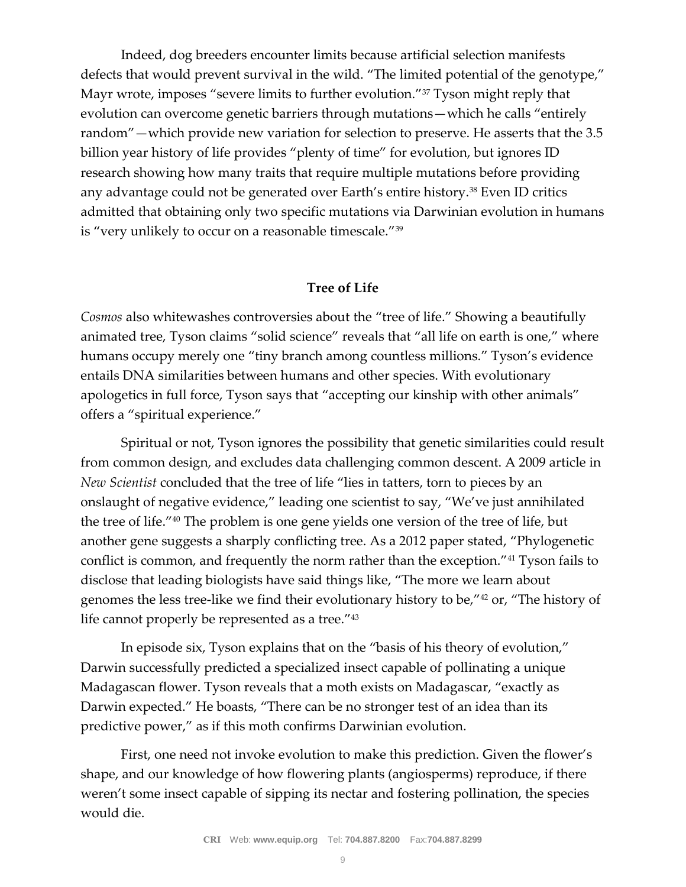Indeed, dog breeders encounter limits because artificial selection manifests defects that would prevent survival in the wild. "The limited potential of the genotype," Mayr wrote, imposes "severe limits to further evolution."<sup>37</sup> Tyson might reply that evolution can overcome genetic barriers through mutations—which he calls "entirely random"—which provide new variation for selection to preserve. He asserts that the 3.5 billion year history of life provides "plenty of time" for evolution, but ignores ID research showing how many traits that require multiple mutations before providing any advantage could not be generated over Earth's entire history.<sup>38</sup> Even ID critics admitted that obtaining only two specific mutations via Darwinian evolution in humans is "very unlikely to occur on a reasonable timescale."<sup>39</sup>

#### **Tree of Life**

*Cosmos* also whitewashes controversies about the "tree of life." Showing a beautifully animated tree, Tyson claims "solid science" reveals that "all life on earth is one," where humans occupy merely one "tiny branch among countless millions." Tyson's evidence entails DNA similarities between humans and other species. With evolutionary apologetics in full force, Tyson says that "accepting our kinship with other animals" offers a "spiritual experience."

Spiritual or not, Tyson ignores the possibility that genetic similarities could result from common design, and excludes data challenging common descent. A 2009 article in *New Scientist* concluded that the tree of life "lies in tatters, torn to pieces by an onslaught of negative evidence," leading one scientist to say, "We've just annihilated the tree of life."<sup>40</sup> The problem is one gene yields one version of the tree of life, but another gene suggests a sharply conflicting tree. As a 2012 paper stated, "Phylogenetic conflict is common, and frequently the norm rather than the exception."<sup>41</sup> Tyson fails to disclose that leading biologists have said things like, "The more we learn about genomes the less tree-like we find their evolutionary history to be,"<sup>42</sup> or, "The history of life cannot properly be represented as a tree."<sup>43</sup>

In episode six, Tyson explains that on the "basis of his theory of evolution," Darwin successfully predicted a specialized insect capable of pollinating a unique Madagascan flower. Tyson reveals that a moth exists on Madagascar, "exactly as Darwin expected." He boasts, "There can be no stronger test of an idea than its predictive power," as if this moth confirms Darwinian evolution.

First, one need not invoke evolution to make this prediction. Given the flower's shape, and our knowledge of how flowering plants (angiosperms) reproduce, if there weren't some insect capable of sipping its nectar and fostering pollination, the species would die.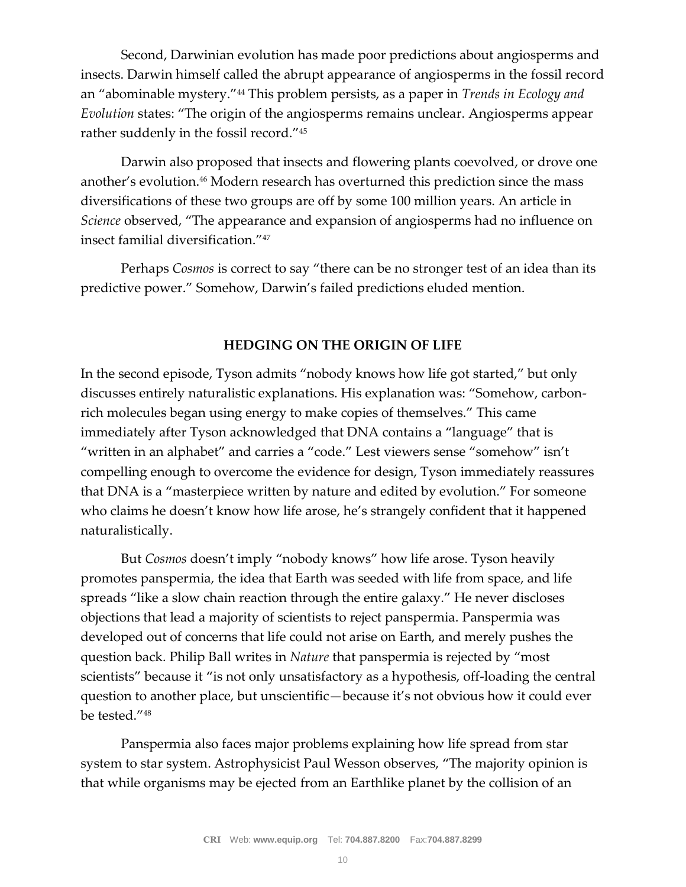Second, Darwinian evolution has made poor predictions about angiosperms and insects. Darwin himself called the abrupt appearance of angiosperms in the fossil record an "abominable mystery."<sup>44</sup> This problem persists, as a paper in *Trends in Ecology and Evolution* states: "The origin of the angiosperms remains unclear. Angiosperms appear rather suddenly in the fossil record."<sup>45</sup>

Darwin also proposed that insects and flowering plants coevolved, or drove one another's evolution.<sup>46</sup> Modern research has overturned this prediction since the mass diversifications of these two groups are off by some 100 million years. An article in *Science* observed, "The appearance and expansion of angiosperms had no influence on insect familial diversification."<sup>47</sup>

Perhaps *Cosmos* is correct to say "there can be no stronger test of an idea than its predictive power." Somehow, Darwin's failed predictions eluded mention.

# **HEDGING ON THE ORIGIN OF LIFE**

In the second episode, Tyson admits "nobody knows how life got started," but only discusses entirely naturalistic explanations. His explanation was: "Somehow, carbonrich molecules began using energy to make copies of themselves." This came immediately after Tyson acknowledged that DNA contains a "language" that is "written in an alphabet" and carries a "code." Lest viewers sense "somehow" isn't compelling enough to overcome the evidence for design, Tyson immediately reassures that DNA is a "masterpiece written by nature and edited by evolution." For someone who claims he doesn't know how life arose, he's strangely confident that it happened naturalistically.

But *Cosmos* doesn't imply "nobody knows" how life arose. Tyson heavily promotes panspermia, the idea that Earth was seeded with life from space, and life spreads "like a slow chain reaction through the entire galaxy." He never discloses objections that lead a majority of scientists to reject panspermia. Panspermia was developed out of concerns that life could not arise on Earth, and merely pushes the question back. Philip Ball writes in *Nature* that panspermia is rejected by "most scientists" because it "is not only unsatisfactory as a hypothesis, off-loading the central question to another place, but unscientific—because it's not obvious how it could ever be tested."<sup>48</sup>

Panspermia also faces major problems explaining how life spread from star system to star system. Astrophysicist Paul Wesson observes, "The majority opinion is that while organisms may be ejected from an Earthlike planet by the collision of an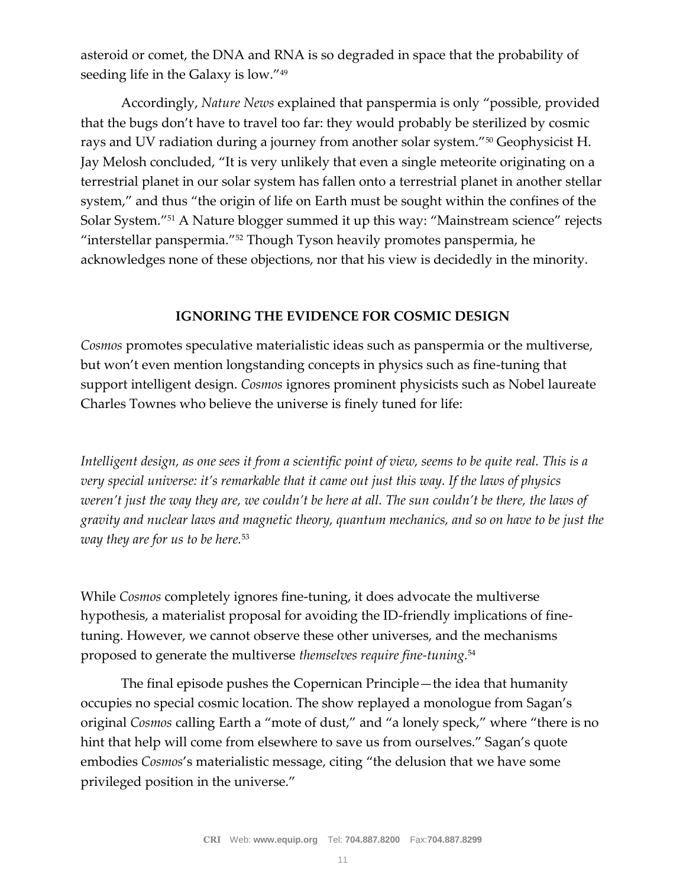asteroid or comet, the DNA and RNA is so degraded in space that the probability of seeding life in the Galaxy is low."<sup>49</sup>

Accordingly, *Nature News* explained that panspermia is only "possible, provided that the bugs don't have to travel too far: they would probably be sterilized by cosmic rays and UV radiation during a journey from another solar system."<sup>50</sup> Geophysicist H. Jay Melosh concluded, "It is very unlikely that even a single meteorite originating on a terrestrial planet in our solar system has fallen onto a terrestrial planet in another stellar system," and thus "the origin of life on Earth must be sought within the confines of the Solar System."<sup>51</sup> A Nature blogger summed it up this way: "Mainstream science" rejects "interstellar panspermia."<sup>52</sup> Though Tyson heavily promotes panspermia, he acknowledges none of these objections, nor that his view is decidedly in the minority.

# **IGNORING THE EVIDENCE FOR COSMIC DESIGN**

*Cosmos* promotes speculative materialistic ideas such as panspermia or the multiverse, but won't even mention longstanding concepts in physics such as fine-tuning that support intelligent design. *Cosmos* ignores prominent physicists such as Nobel laureate Charles Townes who believe the universe is finely tuned for life:

*Intelligent design, as one sees it from a scientific point of view, seems to be quite real. This is a very special universe: it's remarkable that it came out just this way. If the laws of physics weren't just the way they are, we couldn't be here at all. The sun couldn't be there, the laws of gravity and nuclear laws and magnetic theory, quantum mechanics, and so on have to be just the way they are for us to be here.*<sup>53</sup>

While *Cosmos* completely ignores fine-tuning, it does advocate the multiverse hypothesis, a materialist proposal for avoiding the ID-friendly implications of finetuning. However, we cannot observe these other universes, and the mechanisms proposed to generate the multiverse *themselves require fine-tuning.*<sup>54</sup>

The final episode pushes the Copernican Principle—the idea that humanity occupies no special cosmic location. The show replayed a monologue from Sagan's original *Cosmos* calling Earth a "mote of dust," and "a lonely speck," where "there is no hint that help will come from elsewhere to save us from ourselves." Sagan's quote embodies *Cosmos*'s materialistic message, citing "the delusion that we have some privileged position in the universe."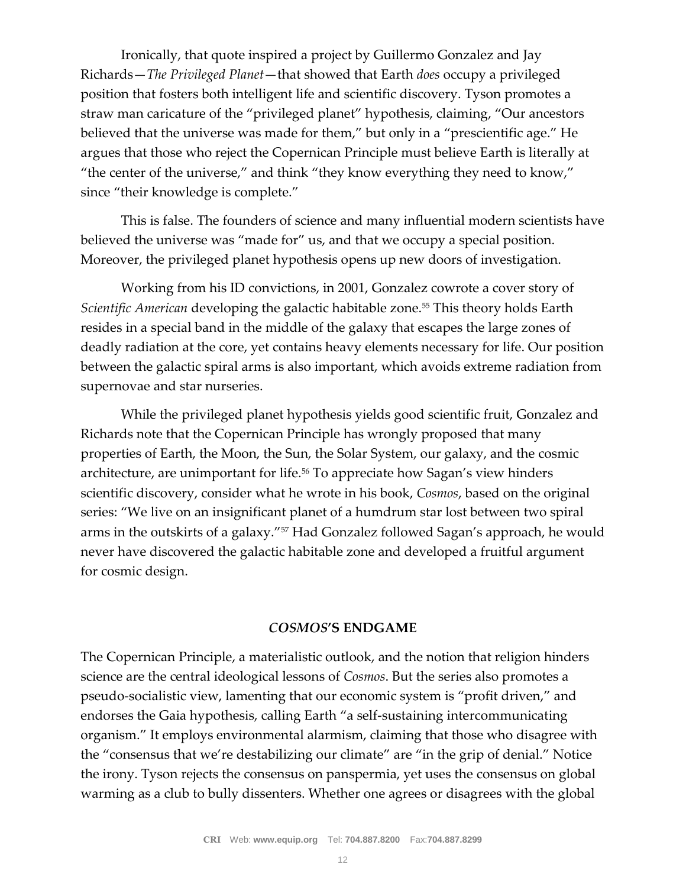Ironically, that quote inspired a project by Guillermo Gonzalez and Jay Richards—*The Privileged Planet*—that showed that Earth *does* occupy a privileged position that fosters both intelligent life and scientific discovery. Tyson promotes a straw man caricature of the "privileged planet" hypothesis, claiming, "Our ancestors believed that the universe was made for them," but only in a "prescientific age." He argues that those who reject the Copernican Principle must believe Earth is literally at "the center of the universe," and think "they know everything they need to know," since "their knowledge is complete."

This is false. The founders of science and many influential modern scientists have believed the universe was "made for" us, and that we occupy a special position. Moreover, the privileged planet hypothesis opens up new doors of investigation.

Working from his ID convictions, in 2001, Gonzalez cowrote a cover story of *Scientific American* developing the galactic habitable zone.<sup>55</sup> This theory holds Earth resides in a special band in the middle of the galaxy that escapes the large zones of deadly radiation at the core, yet contains heavy elements necessary for life. Our position between the galactic spiral arms is also important, which avoids extreme radiation from supernovae and star nurseries.

While the privileged planet hypothesis yields good scientific fruit, Gonzalez and Richards note that the Copernican Principle has wrongly proposed that many properties of Earth, the Moon, the Sun, the Solar System, our galaxy, and the cosmic architecture, are unimportant for life.<sup>56</sup> To appreciate how Sagan's view hinders scientific discovery, consider what he wrote in his book, *Cosmos*, based on the original series: "We live on an insignificant planet of a humdrum star lost between two spiral arms in the outskirts of a galaxy."<sup>57</sup> Had Gonzalez followed Sagan's approach, he would never have discovered the galactic habitable zone and developed a fruitful argument for cosmic design.

#### *COSMOS***'S ENDGAME**

The Copernican Principle, a materialistic outlook, and the notion that religion hinders science are the central ideological lessons of *Cosmos*. But the series also promotes a pseudo-socialistic view, lamenting that our economic system is "profit driven," and endorses the Gaia hypothesis, calling Earth "a self-sustaining intercommunicating organism." It employs environmental alarmism, claiming that those who disagree with the "consensus that we're destabilizing our climate" are "in the grip of denial." Notice the irony. Tyson rejects the consensus on panspermia, yet uses the consensus on global warming as a club to bully dissenters. Whether one agrees or disagrees with the global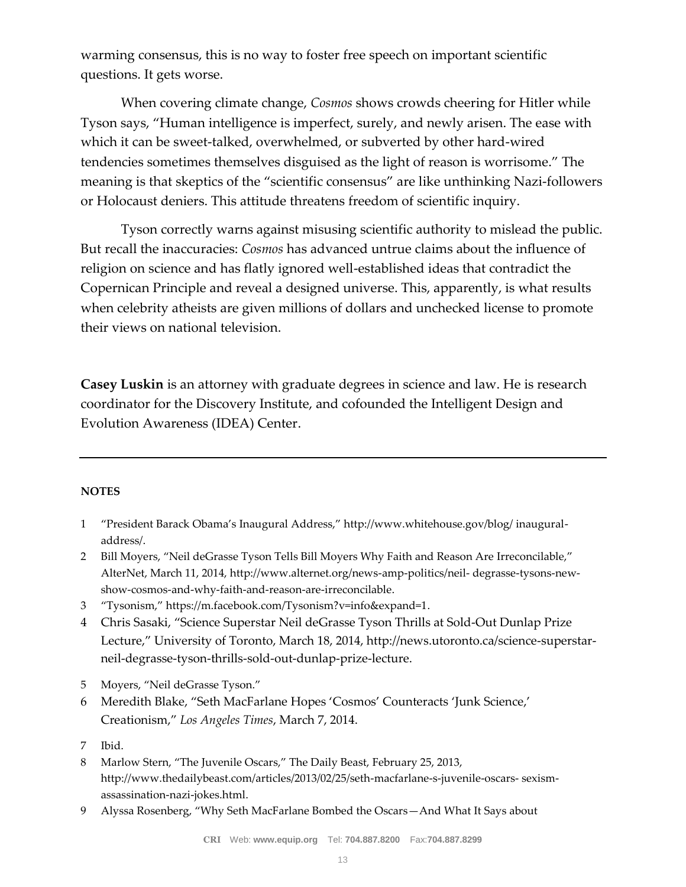warming consensus, this is no way to foster free speech on important scientific questions. It gets worse.

When covering climate change, *Cosmos* shows crowds cheering for Hitler while Tyson says, "Human intelligence is imperfect, surely, and newly arisen. The ease with which it can be sweet-talked, overwhelmed, or subverted by other hard-wired tendencies sometimes themselves disguised as the light of reason is worrisome." The meaning is that skeptics of the "scientific consensus" are like unthinking Nazi-followers or Holocaust deniers. This attitude threatens freedom of scientific inquiry.

Tyson correctly warns against misusing scientific authority to mislead the public. But recall the inaccuracies: *Cosmos* has advanced untrue claims about the influence of religion on science and has flatly ignored well-established ideas that contradict the Copernican Principle and reveal a designed universe. This, apparently, is what results when celebrity atheists are given millions of dollars and unchecked license to promote their views on national television.

**Casey Luskin** is an attorney with graduate degrees in science and law. He is research coordinator for the Discovery Institute, and cofounded the Intelligent Design and Evolution Awareness (IDEA) Center.

#### **NOTES**

- 1 "President Barack Obama's Inaugural Address," http://www.whitehouse.gov/blog/ inauguraladdress/.
- 2 Bill Moyers, "Neil deGrasse Tyson Tells Bill Moyers Why Faith and Reason Are Irreconcilable," AlterNet, March 11, 2014, http://www.alternet.org/news-amp-politics/neil- degrasse-tysons-newshow-cosmos-and-why-faith-and-reason-are-irreconcilable.
- 3 "Tysonism," https://m.facebook.com/Tysonism?v=info&expand=1.
- 4 Chris Sasaki, "Science Superstar Neil deGrasse Tyson Thrills at Sold-Out Dunlap Prize Lecture," University of Toronto, March 18, 2014, http://news.utoronto.ca/science-superstarneil-degrasse-tyson-thrills-sold-out-dunlap-prize-lecture.
- 5 Moyers, "Neil deGrasse Tyson."
- 6 Meredith Blake, "Seth MacFarlane Hopes 'Cosmos' Counteracts 'Junk Science,' Creationism," *Los Angeles Times*, March 7, 2014.
- 7 Ibid.
- 8 Marlow Stern, "The Juvenile Oscars," The Daily Beast, February 25, 2013, http://www.thedailybeast.com/articles/2013/02/25/seth-macfarlane-s-juvenile-oscars- sexismassassination-nazi-jokes.html.
- 9 Alyssa Rosenberg, "Why Seth MacFarlane Bombed the Oscars—And What It Says about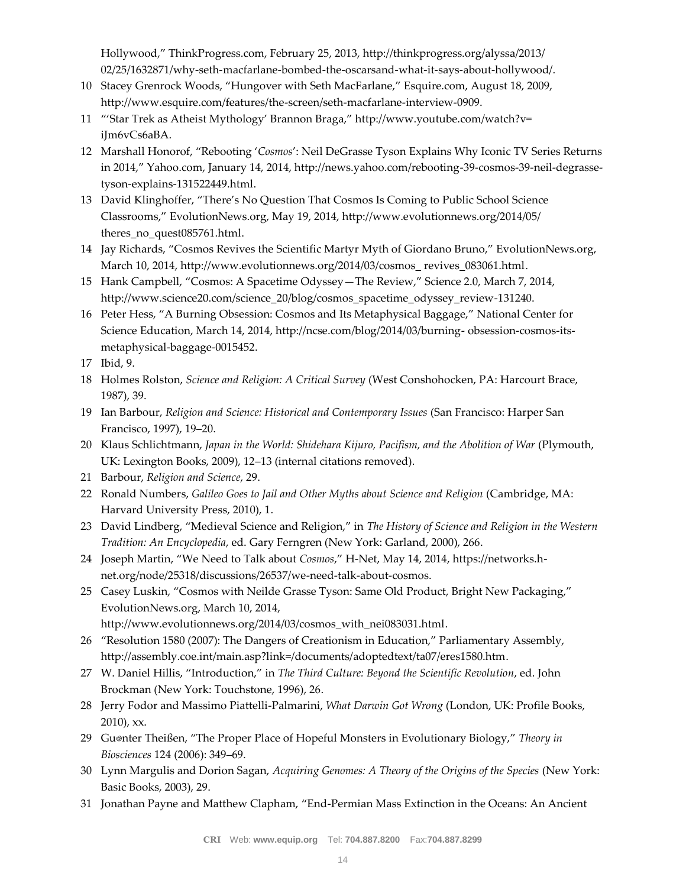Hollywood," ThinkProgress.com, February 25, 2013, http://thinkprogress.org/alyssa/2013/ 02/25/1632871/why-seth-macfarlane-bombed-the-oscarsand-what-it-says-about-hollywood/.

- 10 Stacey Grenrock Woods, "Hungover with Seth MacFarlane," Esquire.com, August 18, 2009, http://www.esquire.com/features/the-screen/seth-macfarlane-interview-0909.
- 11 "'Star Trek as Atheist Mythology' Brannon Braga," http://www.youtube.com/watch?v= iJm6vCs6aBA.
- 12 Marshall Honorof, "Rebooting '*Cosmos*': Neil DeGrasse Tyson Explains Why Iconic TV Series Returns in 2014," Yahoo.com, January 14, 2014, http://news.yahoo.com/rebooting-39-cosmos-39-neil-degrassetyson-explains-131522449.html.
- 13 David Klinghoffer, "There's No Question That Cosmos Is Coming to Public School Science Classrooms," EvolutionNews.org, May 19, 2014, http://www.evolutionnews.org/2014/05/ theres\_no\_quest085761.html.
- 14 Jay Richards, "Cosmos Revives the Scientific Martyr Myth of Giordano Bruno," EvolutionNews.org, March 10, 2014, http://www.evolutionnews.org/2014/03/cosmos\_ revives\_083061.html.
- 15 Hank Campbell, "Cosmos: A Spacetime Odyssey—The Review," Science 2.0, March 7, 2014, http://www.science20.com/science\_20/blog/cosmos\_spacetime\_odyssey\_review-131240.
- 16 Peter Hess, "A Burning Obsession: Cosmos and Its Metaphysical Baggage," National Center for Science Education, March 14, 2014, http://ncse.com/blog/2014/03/burning- obsession-cosmos-itsmetaphysical-baggage-0015452.
- 17 Ibid, 9.
- 18 Holmes Rolston, *Science and Religion: A Critical Survey* (West Conshohocken, PA: Harcourt Brace, 1987), 39.
- 19 Ian Barbour, *Religion and Science: Historical and Contemporary Issues* (San Francisco: Harper San Francisco, 1997), 19–20.
- 20 Klaus Schlichtmann, *Japan in the World: Shidehara Kijuro, Pacifism, and the Abolition of War* (Plymouth, UK: Lexington Books, 2009), 12–13 (internal citations removed).
- 21 Barbour, *Religion and Science*, 29.
- 22 Ronald Numbers, *Galileo Goes to Jail and Other Myths about Science and Religion (Cambridge, MA*: Harvard University Press, 2010), 1.
- 23 David Lindberg, "Medieval Science and Religion," in *The History of Science and Religion in the Western Tradition: An Encyclopedia*, ed. Gary Ferngren (New York: Garland, 2000), 266.
- 24 Joseph Martin, "We Need to Talk about *Cosmos*," H-Net, May 14, 2014, https://networks.hnet.org/node/25318/discussions/26537/we-need-talk-about-cosmos.
- 25 Casey Luskin, "Cosmos with Neilde Grasse Tyson: Same Old Product, Bright New Packaging," EvolutionNews.org, March 10, 2014, http://www.evolutionnews.org/2014/03/cosmos\_with\_nei083031.html.
- 26 "Resolution 1580 (2007): The Dangers of Creationism in Education," Parliamentary Assembly, http://assembly.coe.int/main.asp?link=/documents/adoptedtext/ta07/eres1580.htm.
- 27 W. Daniel Hillis, "Introduction," in *The Third Culture: Beyond the Scientific Revolution*, ed. John Brockman (New York: Touchstone, 1996), 26.
- 28 Jerry Fodor and Massimo Piattelli-Palmarini, *What Darwin Got Wrong* (London, UK: Profile Books, 2010), xx.
- 29 Günter Theißen, "The Proper Place of Hopeful Monsters in Evolutionary Biology," *Theory in Biosciences* 124 (2006): 349–69.
- 30 Lynn Margulis and Dorion Sagan, *Acquiring Genomes: A Theory of the Origins of the Species* (New York: Basic Books, 2003), 29.
- 31 Jonathan Payne and Matthew Clapham, "End-Permian Mass Extinction in the Oceans: An Ancient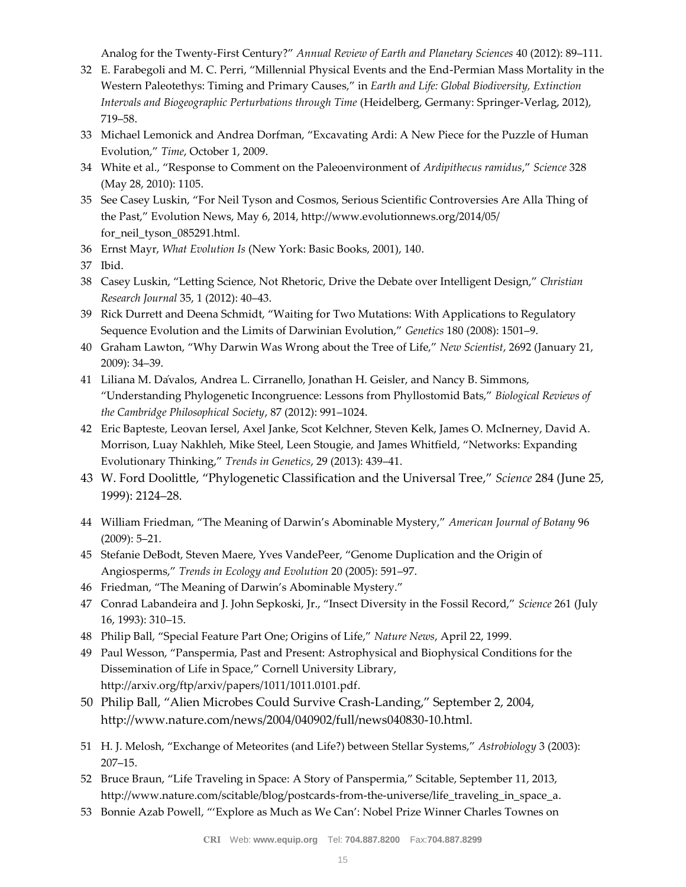Analog for the Twenty-First Century?" *Annual Review of Earth and Planetary Sciences* 40 (2012): 89–111.

- 32 E. Farabegoli and M. C. Perri, "Millennial Physical Events and the End-Permian Mass Mortality in the Western Paleotethys: Timing and Primary Causes," in *Earth and Life: Global Biodiversity, Extinction Intervals and Biogeographic Perturbations through Time* (Heidelberg, Germany: Springer-Verlag, 2012), 719–58.
- 33 Michael Lemonick and Andrea Dorfman, "Excavating Ardi: A New Piece for the Puzzle of Human Evolution," *Time*, October 1, 2009.
- 34 White et al., "Response to Comment on the Paleoenvironment of *Ardipithecus ramidus*," *Science* 328 (May 28, 2010): 1105.
- 35 See Casey Luskin, "For Neil Tyson and Cosmos, Serious Scientific Controversies Are Alla Thing of the Past," Evolution News, May 6, 2014, http://www.evolutionnews.org/2014/05/ for\_neil\_tyson\_085291.html.
- 36 Ernst Mayr, *What Evolution Is* (New York: Basic Books, 2001), 140.
- 37 Ibid.
- 38 Casey Luskin, "Letting Science, Not Rhetoric, Drive the Debate over Intelligent Design," *Christian Research Journal* 35, 1 (2012): 40–43.
- 39 Rick Durrett and Deena Schmidt, "Waiting for Two Mutations: With Applications to Regulatory Sequence Evolution and the Limits of Darwinian Evolution," *Genetics* 180 (2008): 1501–9.
- 40 Graham Lawton, "Why Darwin Was Wrong about the Tree of Life," *New Scientist*, 2692 (January 21, 2009): 34–39.
- 41 Liliana M. Dávalos, Andrea L. Cirranello, Jonathan H. Geisler, and Nancy B. Simmons, "Understanding Phylogenetic Incongruence: Lessons from Phyllostomid Bats," *Biological Reviews of the Cambridge Philosophical Society*, 87 (2012): 991–1024.
- 42 Eric Bapteste, Leovan Iersel, Axel Janke, Scot Kelchner, Steven Kelk, James O. McInerney, David A. Morrison, Luay Nakhleh, Mike Steel, Leen Stougie, and James Whitfield, "Networks: Expanding Evolutionary Thinking," *Trends in Genetics*, 29 (2013): 439–41.
- 43 W. Ford Doolittle, "Phylogenetic Classification and the Universal Tree," *Science* 284 (June 25, 1999): 2124–28.
- 44 William Friedman, "The Meaning of Darwin's Abominable Mystery," *American Journal of Botany* 96 (2009): 5–21.
- 45 Stefanie DeBodt, Steven Maere, Yves VandePeer, "Genome Duplication and the Origin of Angiosperms," *Trends in Ecology and Evolution* 20 (2005): 591–97.
- 46 Friedman, "The Meaning of Darwin's Abominable Mystery."
- 47 Conrad Labandeira and J. John Sepkoski, Jr., "Insect Diversity in the Fossil Record," *Science* 261 (July 16, 1993): 310–15.
- 48 Philip Ball, "Special Feature Part One; Origins of Life," *Nature News*, April 22, 1999.
- 49 Paul Wesson, "Panspermia, Past and Present: Astrophysical and Biophysical Conditions for the Dissemination of Life in Space," Cornell University Library, http://arxiv.org/ftp/arxiv/papers/1011/1011.0101.pdf.
- 50 Philip Ball, "Alien Microbes Could Survive Crash-Landing," September 2, 2004, http://www.nature.com/news/2004/040902/full/news040830-10.html.
- 51 H. J. Melosh, "Exchange of Meteorites (and Life?) between Stellar Systems," *Astrobiology* 3 (2003): 207–15.
- 52 Bruce Braun, "Life Traveling in Space: A Story of Panspermia," Scitable, September 11, 2013, http://www.nature.com/scitable/blog/postcards-from-the-universe/life\_traveling\_in\_space\_a.
- 53 Bonnie Azab Powell, "'Explore as Much as We Can': Nobel Prize Winner Charles Townes on